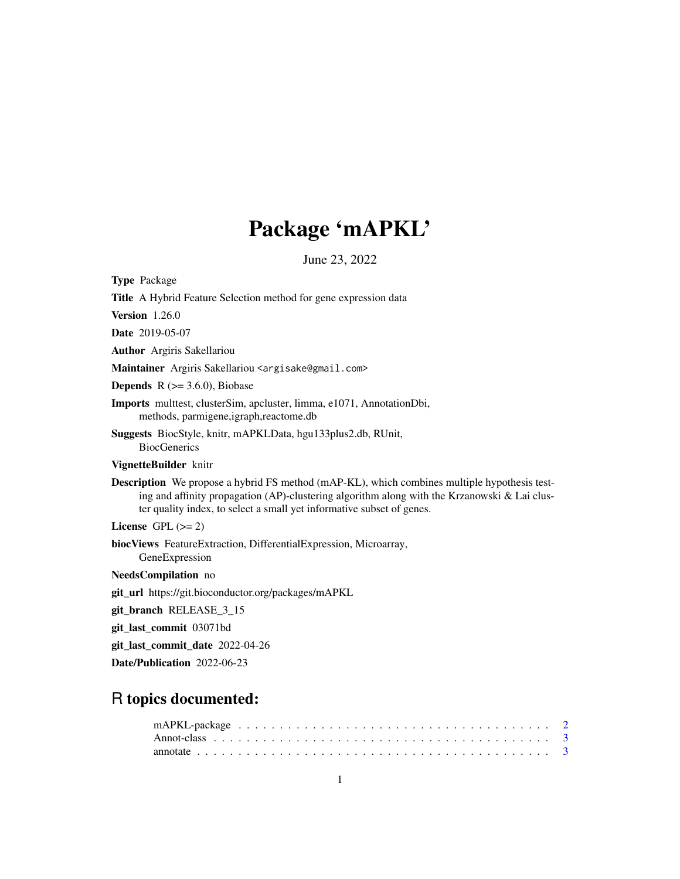# Package 'mAPKL'

June 23, 2022

Type Package

Title A Hybrid Feature Selection method for gene expression data

Version 1.26.0

Date 2019-05-07

Author Argiris Sakellariou

Maintainer Argiris Sakellariou <argisake@gmail.com>

**Depends** R  $(>= 3.6.0)$ , Biobase

Imports multtest, clusterSim, apcluster, limma, e1071, AnnotationDbi, methods, parmigene,igraph,reactome.db

Suggests BiocStyle, knitr, mAPKLData, hgu133plus2.db, RUnit, **BiocGenerics** 

# VignetteBuilder knitr

Description We propose a hybrid FS method (mAP-KL), which combines multiple hypothesis testing and affinity propagation (AP)-clustering algorithm along with the Krzanowski  $&$  Lai cluster quality index, to select a small yet informative subset of genes.

License GPL  $(>= 2)$ 

biocViews FeatureExtraction, DifferentialExpression, Microarray, GeneExpression

NeedsCompilation no

git\_url https://git.bioconductor.org/packages/mAPKL

git\_branch RELEASE\_3\_15

git\_last\_commit 03071bd

git\_last\_commit\_date 2022-04-26

Date/Publication 2022-06-23

# R topics documented: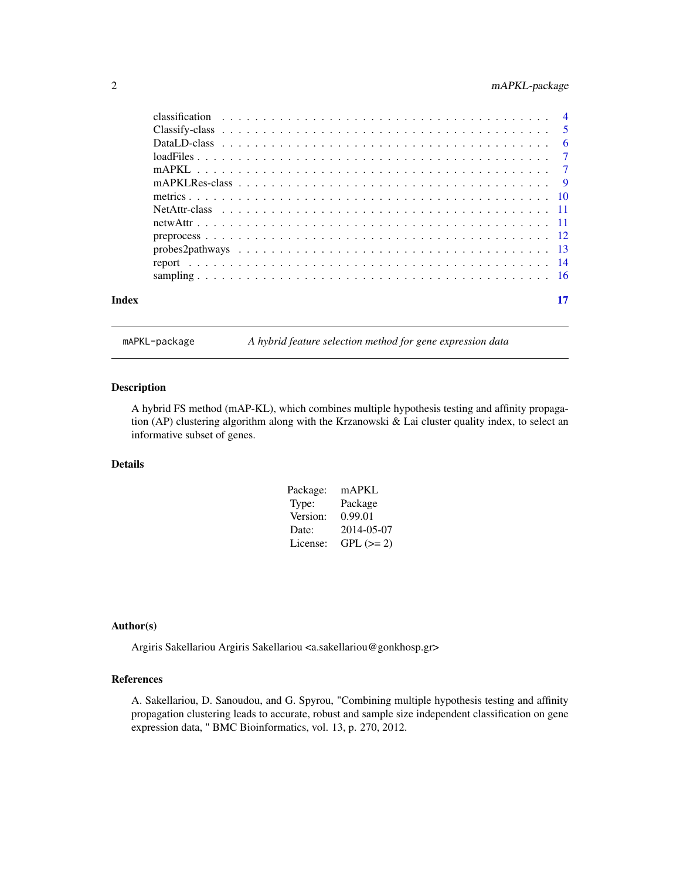<span id="page-1-0"></span>

| Index |  |
|-------|--|

mAPKL-package *A hybrid feature selection method for gene expression data*

# Description

A hybrid FS method (mAP-KL), which combines multiple hypothesis testing and affinity propagation (AP) clustering algorithm along with the Krzanowski & Lai cluster quality index, to select an informative subset of genes.

# Details

| Package: | mAPKL       |
|----------|-------------|
| Type:    | Package     |
| Version: | 0.99.01     |
| Date:    | 2014-05-07  |
| License: | $GPL (= 2)$ |

#### Author(s)

Argiris Sakellariou Argiris Sakellariou <a.sakellariou@gonkhosp.gr>

### References

A. Sakellariou, D. Sanoudou, and G. Spyrou, "Combining multiple hypothesis testing and affinity propagation clustering leads to accurate, robust and sample size independent classification on gene expression data, " BMC Bioinformatics, vol. 13, p. 270, 2012.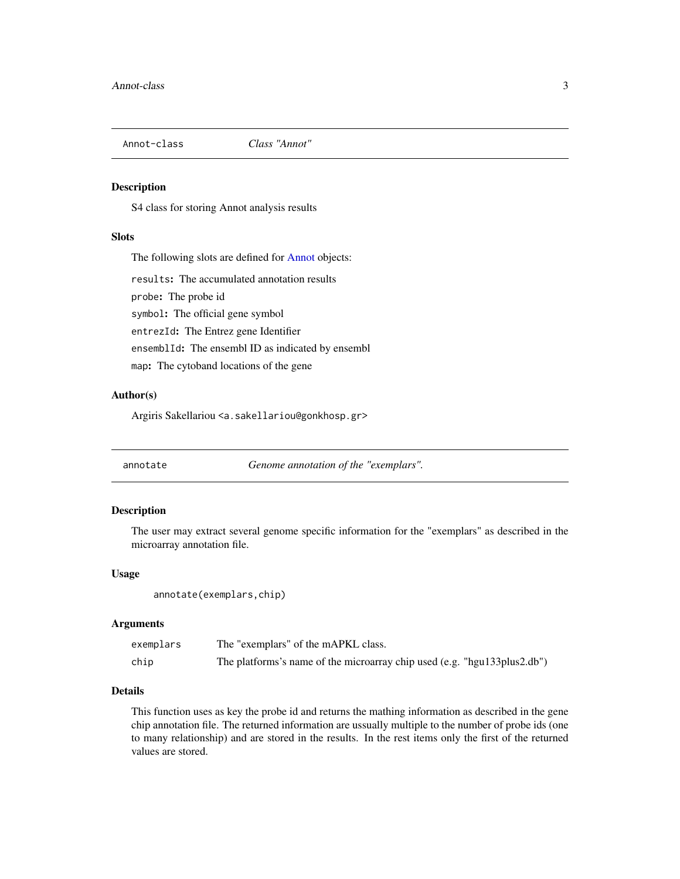<span id="page-2-0"></span>

#### <span id="page-2-1"></span>Description

S4 class for storing Annot analysis results

# Slots

The following slots are defined for [Annot](#page-2-1) objects:

results: The accumulated annotation results

probe: The probe id

symbol: The official gene symbol

entrezId: The Entrez gene Identifier

ensemblId: The ensembl ID as indicated by ensembl

map: The cytoband locations of the gene

#### Author(s)

Argiris Sakellariou <a.sakellariou@gonkhosp.gr>

annotate *Genome annotation of the "exemplars".*

#### Description

The user may extract several genome specific information for the "exemplars" as described in the microarray annotation file.

#### Usage

annotate(exemplars,chip)

#### Arguments

| exemplars | The "exemplars" of the mAPKL class.                                      |
|-----------|--------------------------------------------------------------------------|
| chip      | The platforms's name of the microarray chip used (e.g. "hgu133plus2.db") |

# Details

This function uses as key the probe id and returns the mathing information as described in the gene chip annotation file. The returned information are ussually multiple to the number of probe ids (one to many relationship) and are stored in the results. In the rest items only the first of the returned values are stored.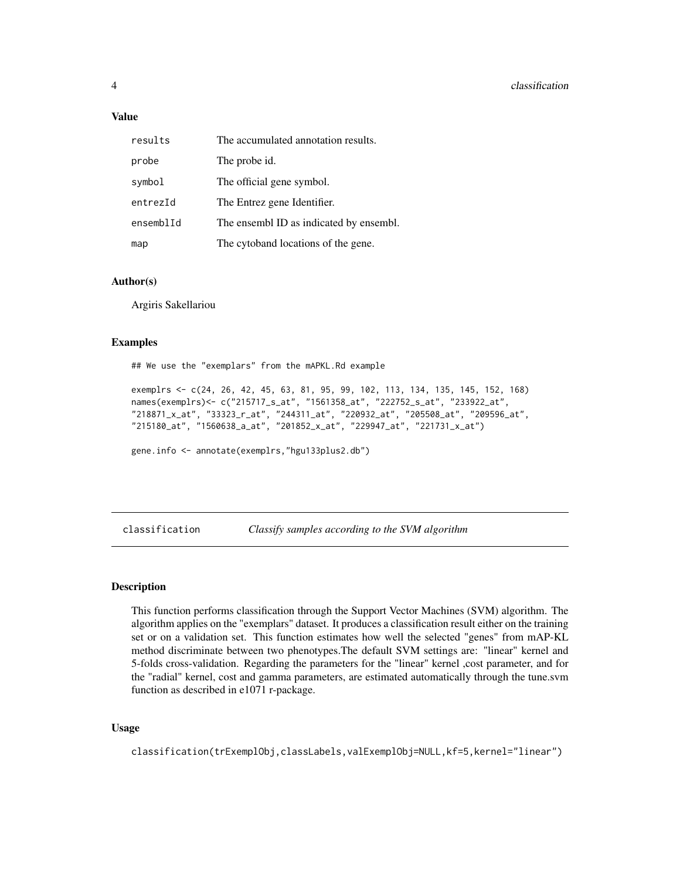#### <span id="page-3-0"></span>Value

| results   | The accumulated annotation results.     |
|-----------|-----------------------------------------|
| probe     | The probe id.                           |
| symbol    | The official gene symbol.               |
| entrezId  | The Entrez gene Identifier.             |
| ensemb1Id | The ensembl ID as indicated by ensembl. |
| map       | The cytoband locations of the gene.     |

# Author(s)

Argiris Sakellariou

#### Examples

## We use the "exemplars" from the mAPKL.Rd example

exemplrs <- c(24, 26, 42, 45, 63, 81, 95, 99, 102, 113, 134, 135, 145, 152, 168) names(exemplrs)<- c("215717\_s\_at", "1561358\_at", "222752\_s\_at", "233922\_at", "218871\_x\_at", "33323\_r\_at", "244311\_at", "220932\_at", "205508\_at", "209596\_at", "215180\_at", "1560638\_a\_at", "201852\_x\_at", "229947\_at", "221731\_x\_at")

gene.info <- annotate(exemplrs,"hgu133plus2.db")

classification *Classify samples according to the SVM algorithm*

#### Description

This function performs classification through the Support Vector Machines (SVM) algorithm. The algorithm applies on the "exemplars" dataset. It produces a classification result either on the training set or on a validation set. This function estimates how well the selected "genes" from mAP-KL method discriminate between two phenotypes.The default SVM settings are: "linear" kernel and 5-folds cross-validation. Regarding the parameters for the "linear" kernel ,cost parameter, and for the "radial" kernel, cost and gamma parameters, are estimated automatically through the tune.svm function as described in e1071 r-package.

#### Usage

classification(trExemplObj,classLabels,valExemplObj=NULL,kf=5,kernel="linear")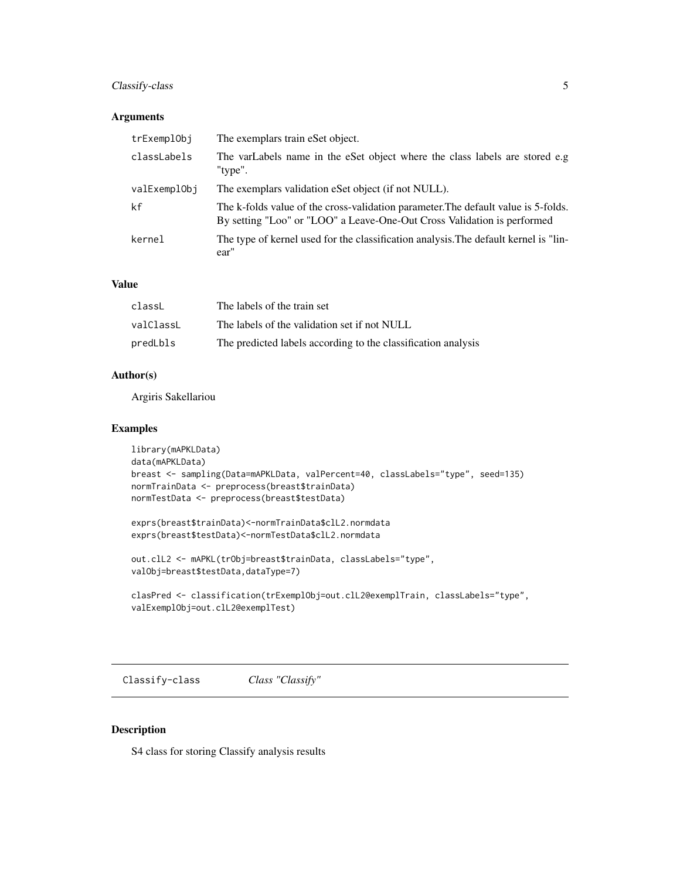# <span id="page-4-0"></span>Classify-class 5

## Arguments

| trExemplObj  | The exemplars train eSet object.                                                                                                                              |
|--------------|---------------------------------------------------------------------------------------------------------------------------------------------------------------|
| classLabels  | The varLabels name in the eSet object where the class labels are stored e.g<br>"type".                                                                        |
| valExemplObi | The exemplars validation eSet object (if not NULL).                                                                                                           |
| kf           | The k-folds value of the cross-validation parameter. The default value is 5-folds.<br>By setting "Loo" or "LOO" a Leave-One-Out Cross Validation is performed |
| kernel       | The type of kernel used for the classification analysis. The default kernel is "lin-<br>ear"                                                                  |

#### Value

| classL    | The labels of the train set                                   |
|-----------|---------------------------------------------------------------|
| valClassL | The labels of the validation set if not NULL                  |
| predLbls  | The predicted labels according to the classification analysis |

#### Author(s)

Argiris Sakellariou

# Examples

```
library(mAPKLData)
data(mAPKLData)
breast <- sampling(Data=mAPKLData, valPercent=40, classLabels="type", seed=135)
normTrainData <- preprocess(breast$trainData)
normTestData <- preprocess(breast$testData)
```

```
exprs(breast$trainData)<-normTrainData$clL2.normdata
exprs(breast$testData)<-normTestData$clL2.normdata
```

```
out.clL2 <- mAPKL(trObj=breast$trainData, classLabels="type",
valObj=breast$testData,dataType=7)
```

```
clasPred <- classification(trExemplObj=out.clL2@exemplTrain, classLabels="type",
valExemplObj=out.clL2@exemplTest)
```
Classify-class *Class "Classify"*

#### <span id="page-4-1"></span>Description

S4 class for storing Classify analysis results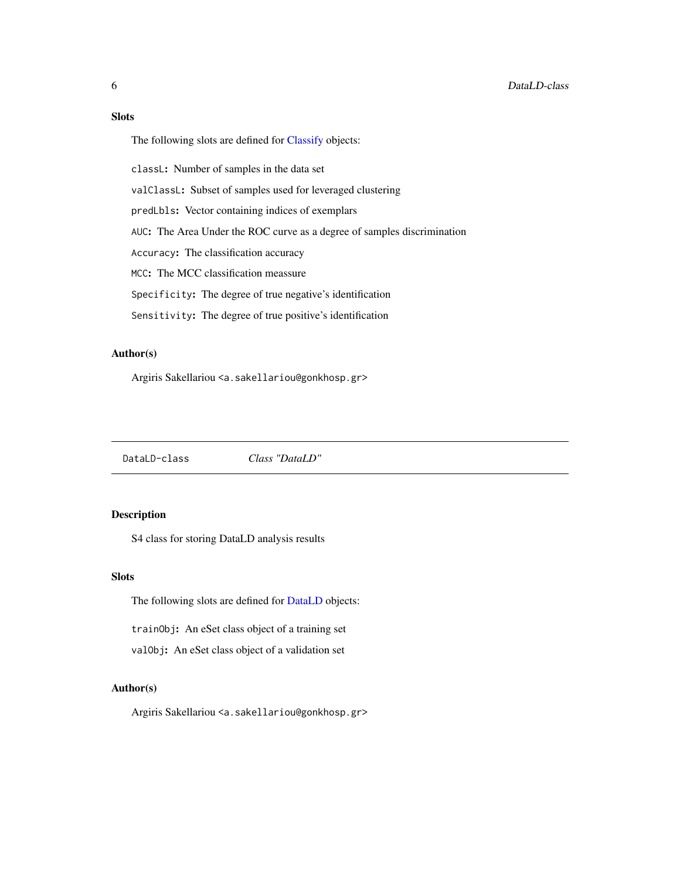<span id="page-5-0"></span>Slots

The following slots are defined for [Classify](#page-4-1) objects:

classL: Number of samples in the data set

valClassL: Subset of samples used for leveraged clustering

predLbls: Vector containing indices of exemplars

AUC: The Area Under the ROC curve as a degree of samples discrimination

Accuracy: The classification accuracy

MCC: The MCC classification meassure

Specificity: The degree of true negative's identification

Sensitivity: The degree of true positive's identification

# Author(s)

Argiris Sakellariou <a.sakellariou@gonkhosp.gr>

DataLD-class *Class "DataLD"*

#### <span id="page-5-1"></span>Description

S4 class for storing DataLD analysis results

#### Slots

The following slots are defined for [DataLD](#page-5-1) objects:

trainObj: An eSet class object of a training set

valObj: An eSet class object of a validation set

#### Author(s)

Argiris Sakellariou <a.sakellariou@gonkhosp.gr>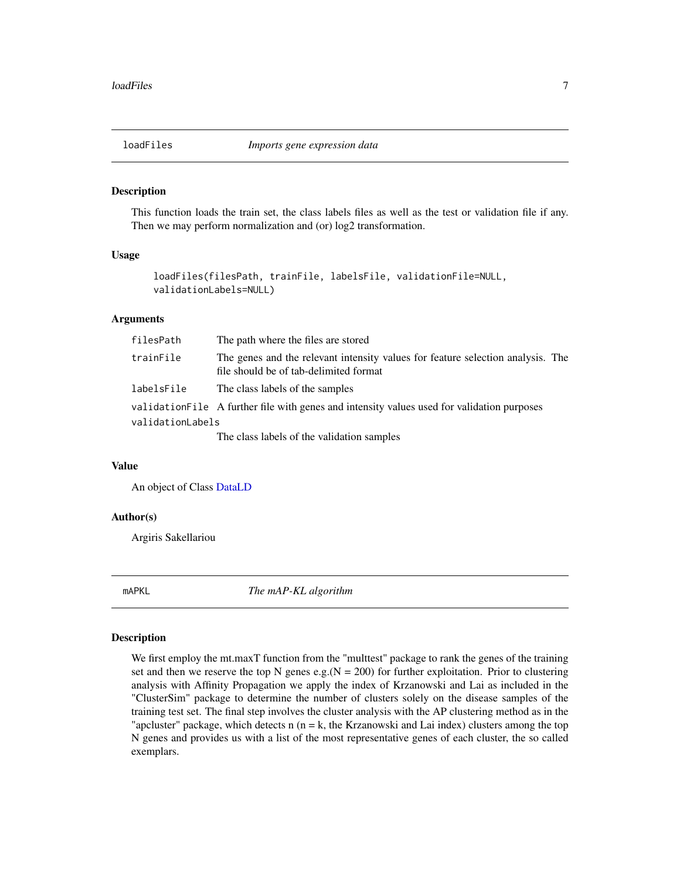<span id="page-6-0"></span>

#### Description

This function loads the train set, the class labels files as well as the test or validation file if any. Then we may perform normalization and (or) log2 transformation.

# Usage

```
loadFiles(filesPath, trainFile, labelsFile, validationFile=NULL,
validationLabels=NULL)
```
#### Arguments

| filesPath        | The path where the files are stored                                                                                       |
|------------------|---------------------------------------------------------------------------------------------------------------------------|
| trainFile        | The genes and the relevant intensity values for feature selection analysis. The<br>file should be of tab-delimited format |
| labelsFile       | The class labels of the samples                                                                                           |
|                  | validation File A further file with genes and intensity values used for validation purposes                               |
| validationLabels |                                                                                                                           |
|                  | The class labels of the validation samples                                                                                |

#### Value

An object of Class [DataLD](#page-5-1)

#### Author(s)

Argiris Sakellariou

mAPKL *The mAP-KL algorithm*

#### Description

We first employ the mt.maxT function from the "multtest" package to rank the genes of the training set and then we reserve the top N genes e.g. $(N = 200)$  for further exploitation. Prior to clustering analysis with Affinity Propagation we apply the index of Krzanowski and Lai as included in the "ClusterSim" package to determine the number of clusters solely on the disease samples of the training test set. The final step involves the cluster analysis with the AP clustering method as in the "apcluster" package, which detects n  $(n = k,$  the Krzanowski and Lai index) clusters among the top N genes and provides us with a list of the most representative genes of each cluster, the so called exemplars.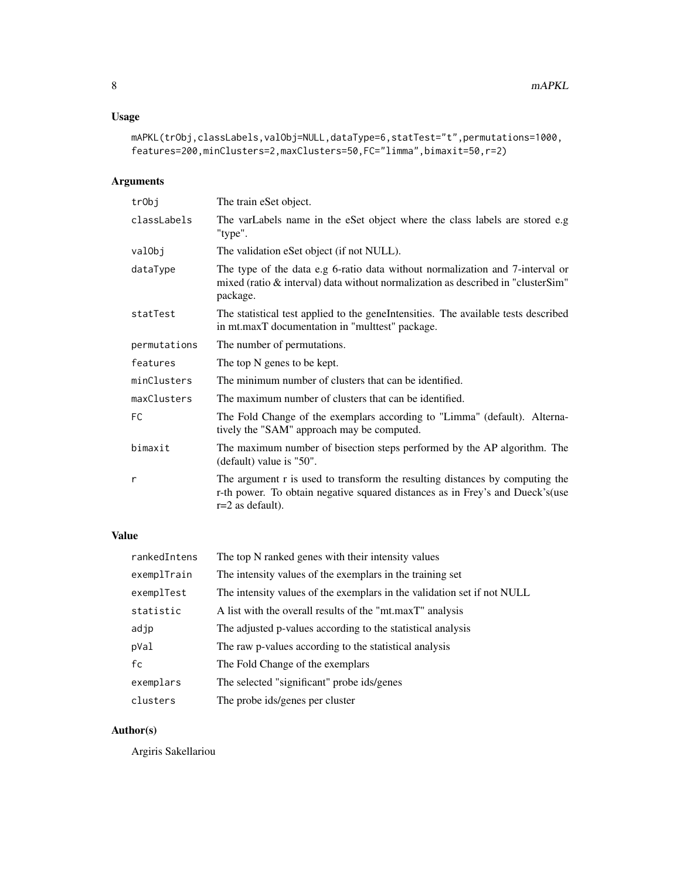# Usage

```
mAPKL(trObj,classLabels,valObj=NULL,dataType=6,statTest="t",permutations=1000,
features=200,minClusters=2,maxClusters=50,FC="limma",bimaxit=50,r=2)
```
# Arguments

| trObj        | The train eSet object.                                                                                                                                                               |
|--------------|--------------------------------------------------------------------------------------------------------------------------------------------------------------------------------------|
| classLabels  | The varLabels name in the eSet object where the class labels are stored e.g<br>"type".                                                                                               |
| valObj       | The validation eSet object (if not NULL).                                                                                                                                            |
| dataType     | The type of the data e.g 6-ratio data without normalization and 7-interval or<br>mixed (ratio $\&$ interval) data without normalization as described in "clusterSim"<br>package.     |
| statTest     | The statistical test applied to the geneIntensities. The available tests described<br>in mt.maxT documentation in "multtest" package.                                                |
| permutations | The number of permutations.                                                                                                                                                          |
| features     | The top N genes to be kept.                                                                                                                                                          |
| minClusters  | The minimum number of clusters that can be identified.                                                                                                                               |
| maxClusters  | The maximum number of clusters that can be identified.                                                                                                                               |
| FC           | The Fold Change of the exemplars according to "Limma" (default). Alterna-<br>tively the "SAM" approach may be computed.                                                              |
| bimaxit      | The maximum number of bisection steps performed by the AP algorithm. The<br>(default) value is "50".                                                                                 |
| r            | The argument r is used to transform the resulting distances by computing the<br>r-th power. To obtain negative squared distances as in Frey's and Dueck's (use<br>$r=2$ as default). |

# Value

| rankedIntens | The top N ranked genes with their intensity values                      |
|--------------|-------------------------------------------------------------------------|
| exemplTrain  | The intensity values of the exemplars in the training set               |
| exemplTest   | The intensity values of the exemplars in the validation set if not NULL |
| statistic    | A list with the overall results of the "mt.maxT" analysis               |
| adjp         | The adjusted p-values according to the statistical analysis             |
| pVal         | The raw p-values according to the statistical analysis                  |
| fc           | The Fold Change of the exemplars                                        |
| exemplars    | The selected "significant" probe ids/genes                              |
| clusters     | The probe ids/genes per cluster                                         |

# Author(s)

Argiris Sakellariou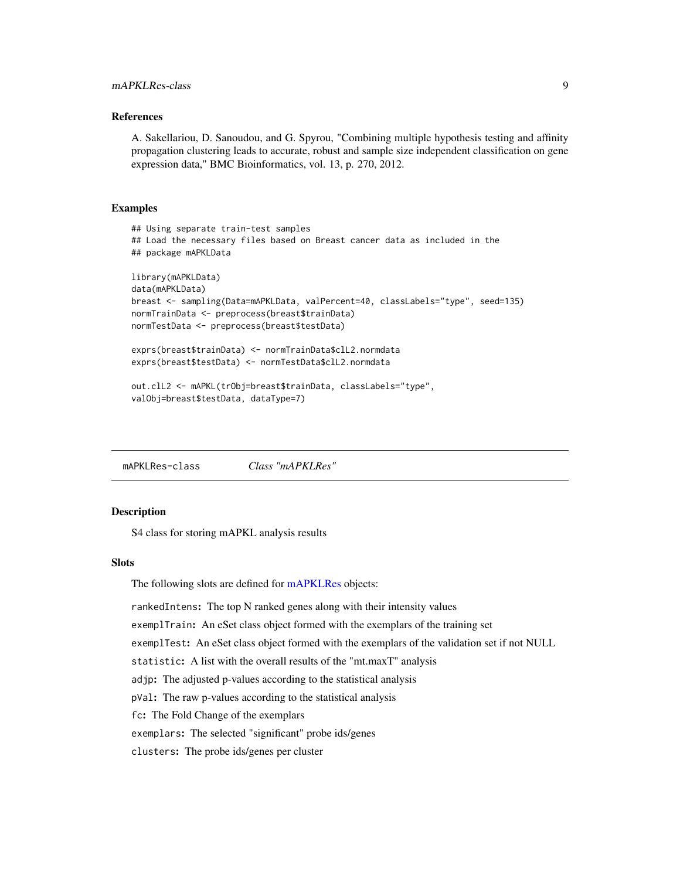#### <span id="page-8-0"></span>References

A. Sakellariou, D. Sanoudou, and G. Spyrou, "Combining multiple hypothesis testing and affinity propagation clustering leads to accurate, robust and sample size independent classification on gene expression data," BMC Bioinformatics, vol. 13, p. 270, 2012.

#### Examples

```
## Using separate train-test samples
## Load the necessary files based on Breast cancer data as included in the
## package mAPKLData
library(mAPKLData)
data(mAPKLData)
breast <- sampling(Data=mAPKLData, valPercent=40, classLabels="type", seed=135)
normTrainData <- preprocess(breast$trainData)
normTestData <- preprocess(breast$testData)
exprs(breast$trainData) <- normTrainData$clL2.normdata
exprs(breast$testData) <- normTestData$clL2.normdata
out.clL2 <- mAPKL(trObj=breast$trainData, classLabels="type",
valObj=breast$testData, dataType=7)
```
mAPKLRes-class *Class "mAPKLRes"*

#### <span id="page-8-1"></span>**Description**

S4 class for storing mAPKL analysis results

#### **Slots**

The following slots are defined for [mAPKLRes](#page-8-1) objects:

rankedIntens: The top N ranked genes along with their intensity values exemplTrain: An eSet class object formed with the exemplars of the training set exemplTest: An eSet class object formed with the exemplars of the validation set if not NULL statistic: A list with the overall results of the "mt.maxT" analysis adjp: The adjusted p-values according to the statistical analysis pVal: The raw p-values according to the statistical analysis fc: The Fold Change of the exemplars exemplars: The selected "significant" probe ids/genes clusters: The probe ids/genes per cluster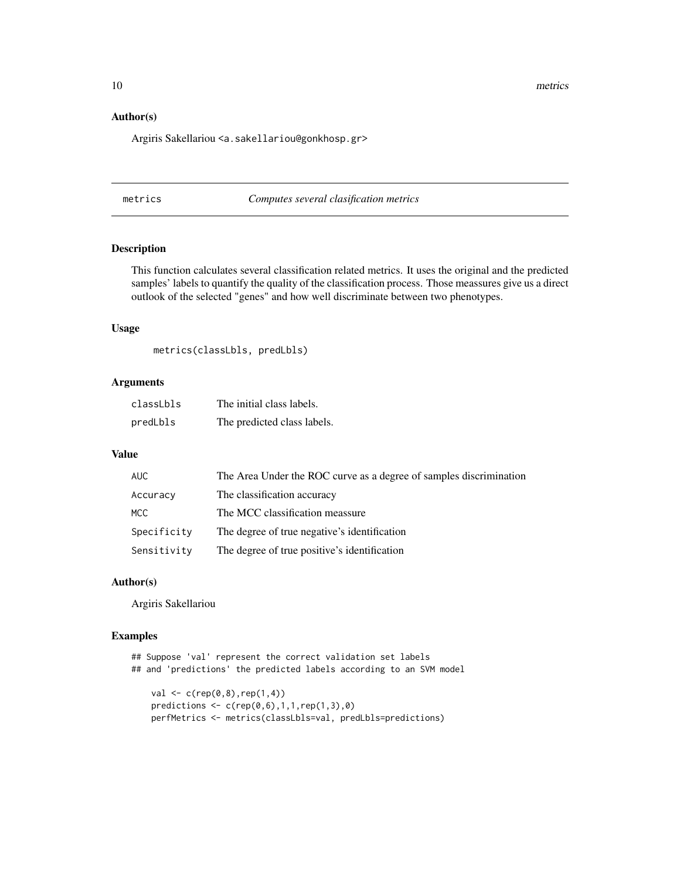<span id="page-9-0"></span>10 metrics metrics and the contract of the contract of the contract of the contract of the contract of the contract of the contract of the contract of the contract of the contract of the contract of the contract of the con

# Author(s)

Argiris Sakellariou <a.sakellariou@gonkhosp.gr>

metrics *Computes several clasification metrics*

#### Description

This function calculates several classification related metrics. It uses the original and the predicted samples' labels to quantify the quality of the classification process. Those meassures give us a direct outlook of the selected "genes" and how well discriminate between two phenotypes.

### Usage

metrics(classLbls, predLbls)

# Arguments

| classLbls | The initial class labels.   |
|-----------|-----------------------------|
| predLbls  | The predicted class labels. |

# Value

| AUC         | The Area Under the ROC curve as a degree of samples discrimination |
|-------------|--------------------------------------------------------------------|
| Accuracy    | The classification accuracy                                        |
| MCC.        | The MCC classification meassure                                    |
| Specificity | The degree of true negative's identification                       |
| Sensitivity | The degree of true positive's identification                       |

#### Author(s)

Argiris Sakellariou

#### Examples

```
## Suppose 'val' represent the correct validation set labels
## and 'predictions' the predicted labels according to an SVM model
    val \leq c(rep(\emptyset, \emptyset), rep(1, 4))predictions \leq c (rep(0,6),1,1,rep(1,3),0)
```

```
perfMetrics <- metrics(classLbls=val, predLbls=predictions)
```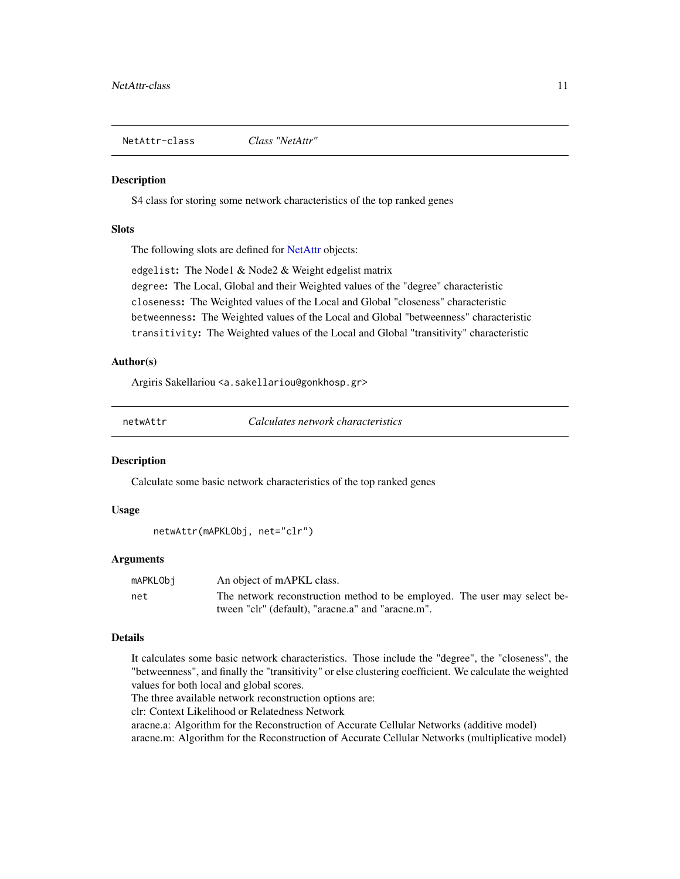<span id="page-10-0"></span>NetAttr-class *Class "NetAttr"*

#### <span id="page-10-1"></span>Description

S4 class for storing some network characteristics of the top ranked genes

# **Slots**

The following slots are defined for [NetAttr](#page-10-1) objects:

edgelist: The Node1 & Node2 & Weight edgelist matrix

degree: The Local, Global and their Weighted values of the "degree" characteristic

closeness: The Weighted values of the Local and Global "closeness" characteristic

betweenness: The Weighted values of the Local and Global "betweenness" characteristic

transitivity: The Weighted values of the Local and Global "transitivity" characteristic

# Author(s)

Argiris Sakellariou <a.sakellariou@gonkhosp.gr>

netwAttr *Calculates network characteristics*

#### **Description**

Calculate some basic network characteristics of the top ranked genes

#### Usage

```
netwAttr(mAPKLObj, net="clr")
```
#### Arguments

| mAPKLObi | An object of mAPKL class.                                                 |
|----------|---------------------------------------------------------------------------|
| net      | The network reconstruction method to be employed. The user may select be- |
|          | tween "clr" (default). "aracne.a" and "aracne.m".                         |

#### Details

It calculates some basic network characteristics. Those include the "degree", the "closeness", the "betweenness", and finally the "transitivity" or else clustering coefficient. We calculate the weighted values for both local and global scores.

The three available network reconstruction options are:

clr: Context Likelihood or Relatedness Network

aracne.a: Algorithm for the Reconstruction of Accurate Cellular Networks (additive model) aracne.m: Algorithm for the Reconstruction of Accurate Cellular Networks (multiplicative model)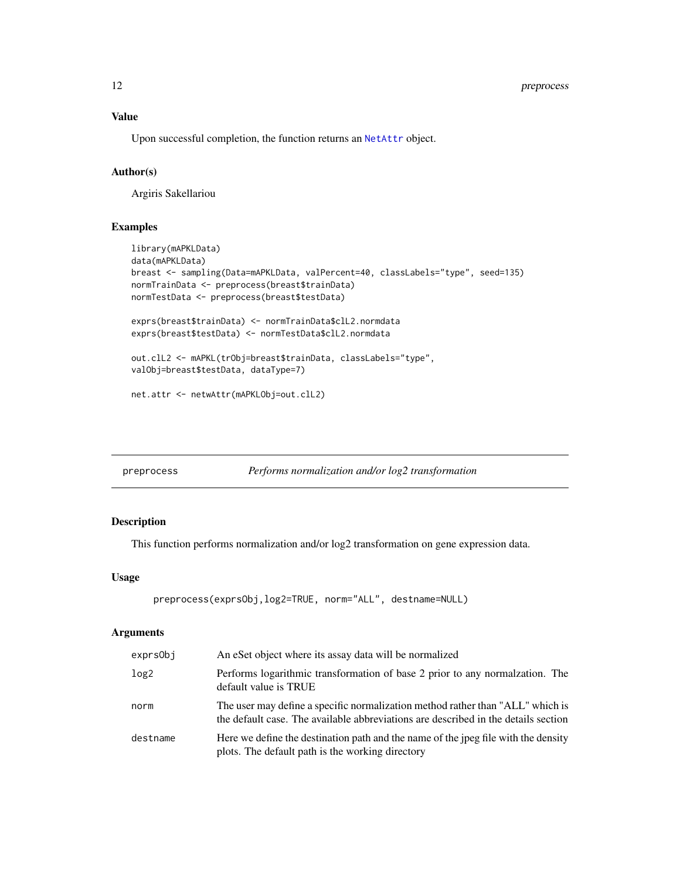# <span id="page-11-0"></span>12 preprocess

# Value

Upon successful completion, the function returns an [NetAttr](#page-10-1) object.

# Author(s)

Argiris Sakellariou

# Examples

```
library(mAPKLData)
data(mAPKLData)
breast <- sampling(Data=mAPKLData, valPercent=40, classLabels="type", seed=135)
normTrainData <- preprocess(breast$trainData)
normTestData <- preprocess(breast$testData)
exprs(breast$trainData) <- normTrainData$clL2.normdata
exprs(breast$testData) <- normTestData$clL2.normdata
out.clL2 <- mAPKL(trObj=breast$trainData, classLabels="type",
valObj=breast$testData, dataType=7)
net.attr <- netwAttr(mAPKLObj=out.clL2)
```

| preprocess | Performs normalization and/or log2 transformation |
|------------|---------------------------------------------------|
|            |                                                   |

# Description

This function performs normalization and/or log2 transformation on gene expression data.

#### Usage

```
preprocess(exprsObj,log2=TRUE, norm="ALL", destname=NULL)
```
#### Arguments

| exprsObj         | An eSet object where its assay data will be normalized                                                                                                               |
|------------------|----------------------------------------------------------------------------------------------------------------------------------------------------------------------|
| log <sub>2</sub> | Performs logarithmic transformation of base 2 prior to any normalization. The<br>default value is TRUE                                                               |
| norm             | The user may define a specific normalization method rather than "ALL" which is<br>the default case. The available abbreviations are described in the details section |
| destname         | Here we define the destination path and the name of the jpeg file with the density<br>plots. The default path is the working directory                               |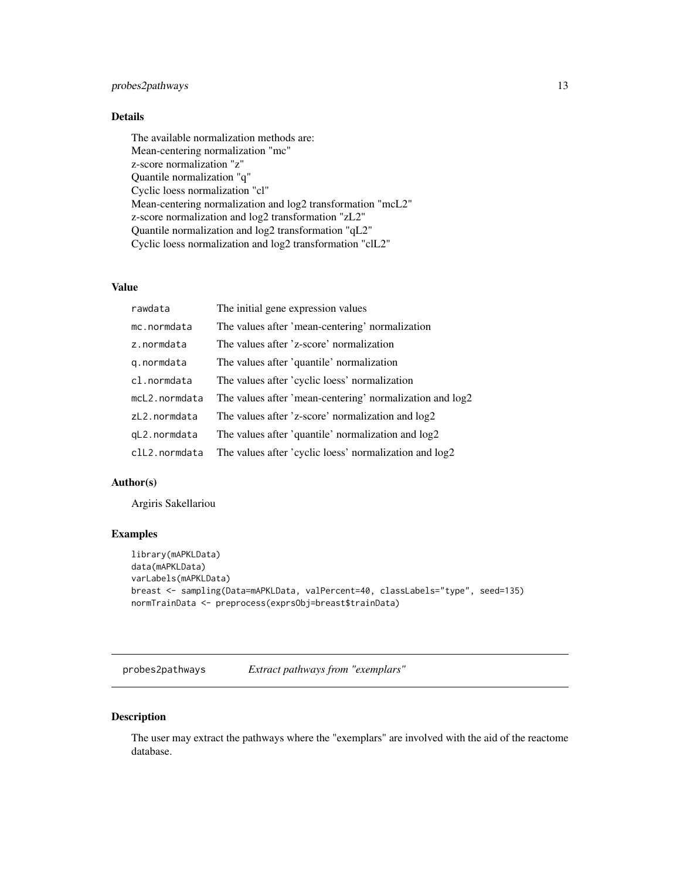# <span id="page-12-0"></span>probes2pathways 13

## Details

The available normalization methods are: Mean-centering normalization "mc" z-score normalization "z" Quantile normalization "q" Cyclic loess normalization "cl" Mean-centering normalization and log2 transformation "mcL2" z-score normalization and log2 transformation "zL2" Quantile normalization and log2 transformation "qL2" Cyclic loess normalization and log2 transformation "clL2"

# Value

| rawdata       | The initial gene expression values                       |
|---------------|----------------------------------------------------------|
| mc.normdata   | The values after 'mean-centering' normalization          |
| z.normdata    | The values after 'z-score' normalization                 |
| g.normdata    | The values after 'quantile' normalization                |
| cl.normdata   | The values after 'cyclic loess' normalization            |
| mcL2.normdata | The values after 'mean-centering' normalization and log2 |
| zL2.normdata  | The values after 'z-score' normalization and log2        |
| gL2.normdata  | The values after 'quantile' normalization and log2       |
| clL2.normdata | The values after 'cyclic loess' normalization and log2   |

# Author(s)

Argiris Sakellariou

# Examples

```
library(mAPKLData)
data(mAPKLData)
varLabels(mAPKLData)
breast <- sampling(Data=mAPKLData, valPercent=40, classLabels="type", seed=135)
normTrainData <- preprocess(exprsObj=breast$trainData)
```
probes2pathways *Extract pathways from "exemplars"*

#### Description

The user may extract the pathways where the "exemplars" are involved with the aid of the reactome database.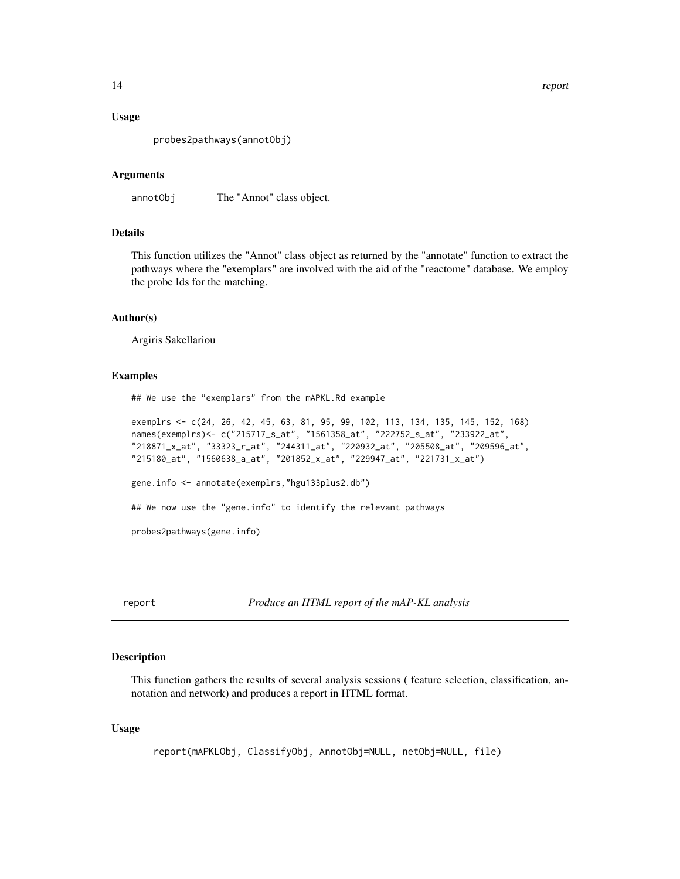#### <span id="page-13-0"></span>Usage

probes2pathways(annotObj)

#### Arguments

annotObj The "Annot" class object.

# Details

This function utilizes the "Annot" class object as returned by the "annotate" function to extract the pathways where the "exemplars" are involved with the aid of the "reactome" database. We employ the probe Ids for the matching.

# Author(s)

Argiris Sakellariou

#### Examples

## We use the "exemplars" from the mAPKL.Rd example

```
exemplrs <- c(24, 26, 42, 45, 63, 81, 95, 99, 102, 113, 134, 135, 145, 152, 168)
names(exemplrs)<- c("215717_s_at", "1561358_at", "222752_s_at", "233922_at",
"218871_x_at", "33323_r_at", "244311_at", "220932_at", "205508_at", "209596_at",
"215180_at", "1560638_a_at", "201852_x_at", "229947_at", "221731_x_at")
gene.info <- annotate(exemplrs,"hgu133plus2.db")
## We now use the "gene.info" to identify the relevant pathways
```
probes2pathways(gene.info)

report *Produce an HTML report of the mAP-KL analysis*

#### Description

This function gathers the results of several analysis sessions ( feature selection, classification, annotation and network) and produces a report in HTML format.

#### Usage

```
report(mAPKLObj, ClassifyObj, AnnotObj=NULL, netObj=NULL, file)
```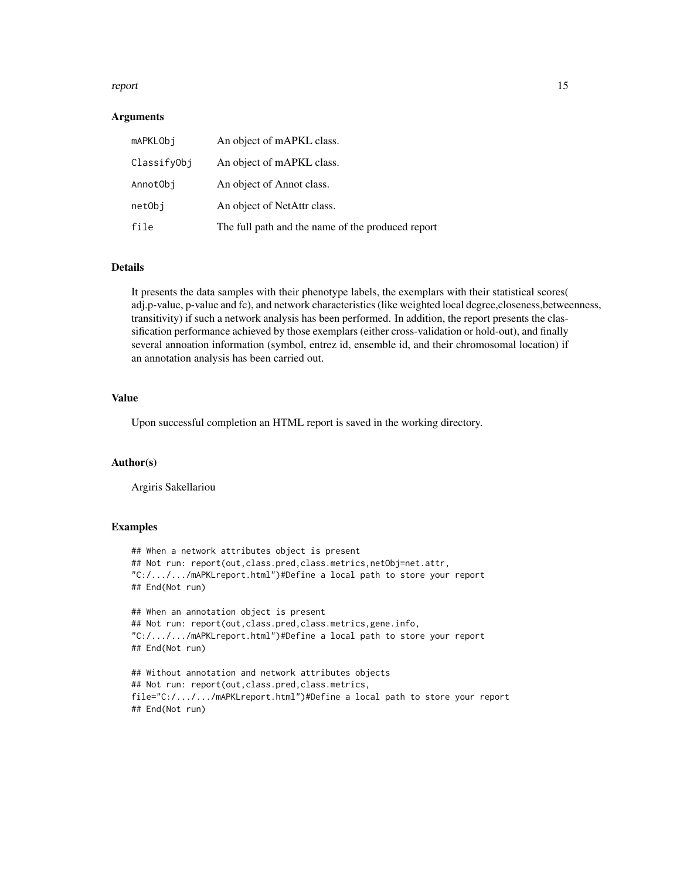#### report to the contract of the contract of the contract of the contract of the contract of the contract of the contract of the contract of the contract of the contract of the contract of the contract of the contract of the

#### Arguments

| mAPKLObi    | An object of mAPKL class.                         |
|-------------|---------------------------------------------------|
| ClassifyObj | An object of mAPKL class.                         |
| AnnotObi    | An object of Annot class.                         |
| netObi      | An object of NetAttr class.                       |
| file        | The full path and the name of the produced report |

#### Details

It presents the data samples with their phenotype labels, the exemplars with their statistical scores( adj.p-value, p-value and fc), and network characteristics (like weighted local degree,closeness,betweenness, transitivity) if such a network analysis has been performed. In addition, the report presents the classification performance achieved by those exemplars (either cross-validation or hold-out), and finally several annoation information (symbol, entrez id, ensemble id, and their chromosomal location) if an annotation analysis has been carried out.

#### Value

Upon successful completion an HTML report is saved in the working directory.

#### Author(s)

Argiris Sakellariou

#### Examples

```
## When a network attributes object is present
## Not run: report(out, class.pred, class.metrics, netObj=net.attr,
"C:/.../.../mAPKLreport.html")#Define a local path to store your report
## End(Not run)
## When an annotation object is present
## Not run: report(out,class.pred,class.metrics,gene.info,
"C:/.../.../mAPKLreport.html")#Define a local path to store your report
## End(Not run)
## Without annotation and network attributes objects
## Not run: report(out,class.pred,class.metrics,
file="C:/.../.../mAPKLreport.html")#Define a local path to store your report
```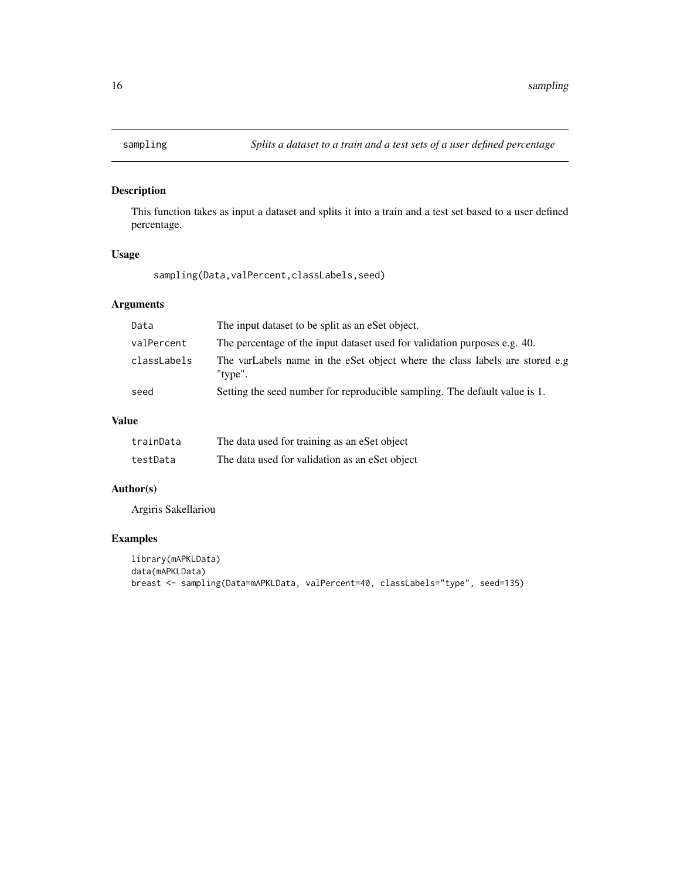<span id="page-15-0"></span>

# Description

This function takes as input a dataset and splits it into a train and a test set based to a user defined percentage.

#### Usage

sampling(Data,valPercent,classLabels,seed)

# Arguments

| Data        | The input dataset to be split as an eSet object.                                       |
|-------------|----------------------------------------------------------------------------------------|
| valPercent  | The percentage of the input dataset used for validation purposes e.g. 40.              |
| classLabels | The varLabels name in the eSet object where the class labels are stored e.g<br>"type". |
| seed        | Setting the seed number for reproducible sampling. The default value is 1.             |

# Value

| trainData | The data used for training as an eSet object   |
|-----------|------------------------------------------------|
| testData  | The data used for validation as an eSet object |

# Author(s)

Argiris Sakellariou

# Examples

```
library(mAPKLData)
data(mAPKLData)
breast <- sampling(Data=mAPKLData, valPercent=40, classLabels="type", seed=135)
```